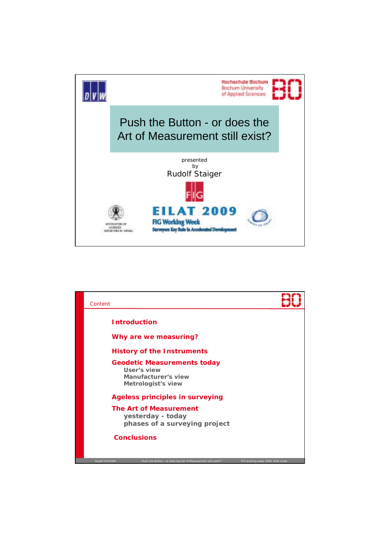

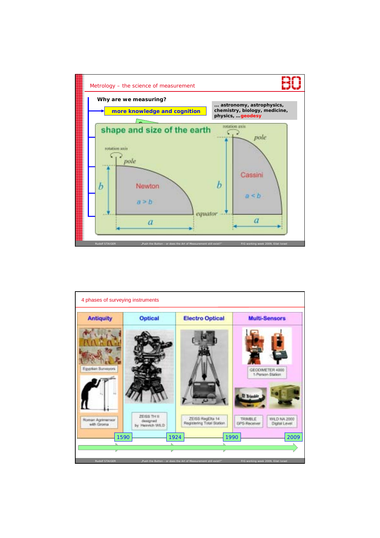

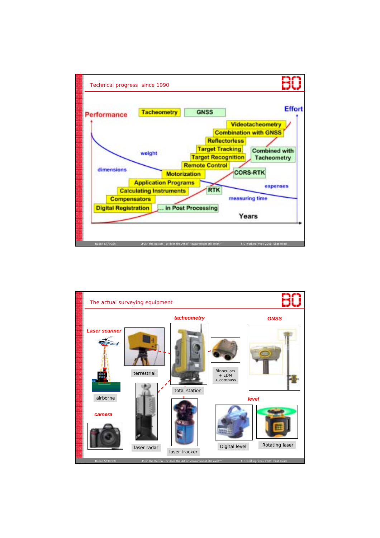

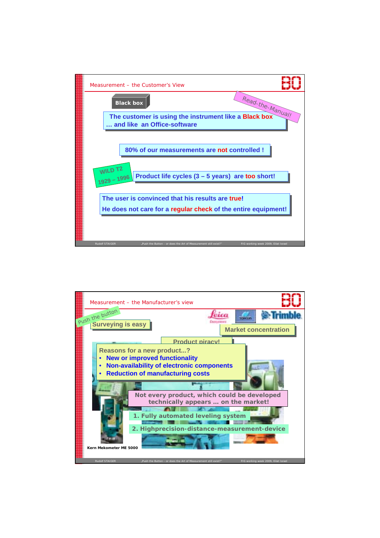

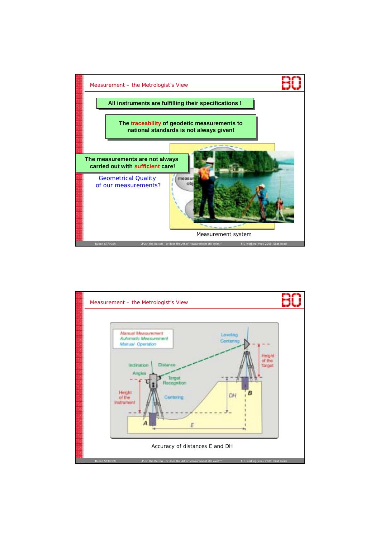

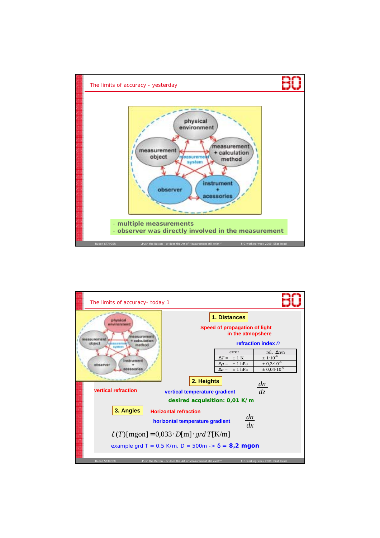

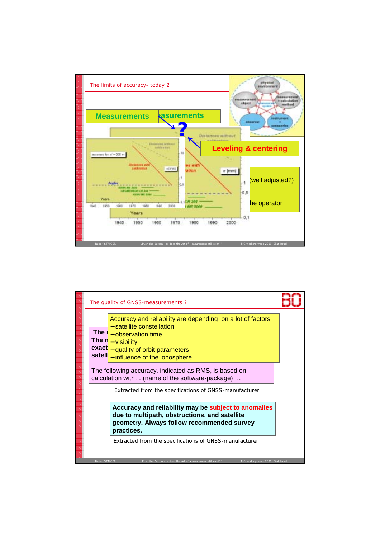

| The quality of GNSS-measurements?                                                                                               |                                                                                                                                                                                                                                           |  |  |
|---------------------------------------------------------------------------------------------------------------------------------|-------------------------------------------------------------------------------------------------------------------------------------------------------------------------------------------------------------------------------------------|--|--|
|                                                                                                                                 | Accuracy and reliability are depending on a lot of factors<br>- satellite constellation<br>The $1$ – observation time<br>The $n$ – visibility<br>$\textsf{exact}_{-}$ quality of orbit parameters<br>satell - influence of the ionosphere |  |  |
| The following accuracy, indicated as RMS, is based on<br>calculation with(name of the software-package)                         |                                                                                                                                                                                                                                           |  |  |
|                                                                                                                                 | Extracted from the specifications of GNSS-manufacturer                                                                                                                                                                                    |  |  |
|                                                                                                                                 | Accuracy and reliability may be subject to anomalies<br>due to multipath, obstructions, and satellite<br>geometry. Always follow recommended survey<br>practices.                                                                         |  |  |
|                                                                                                                                 | Extracted from the specifications of GNSS-manufacturer                                                                                                                                                                                    |  |  |
| <b>Rudolf STAIGER</b><br>"Push the Button - or does the Art of Measurement still exist?"<br>FIG working week 2009, Eilat Israel |                                                                                                                                                                                                                                           |  |  |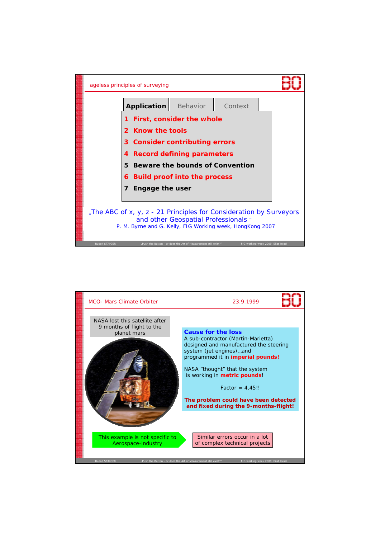

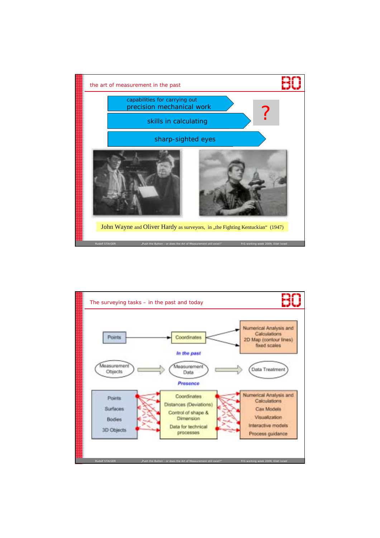

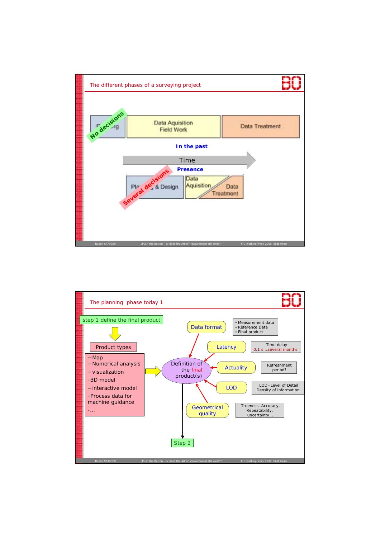

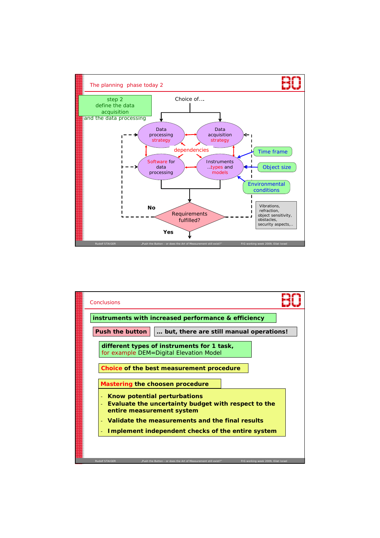